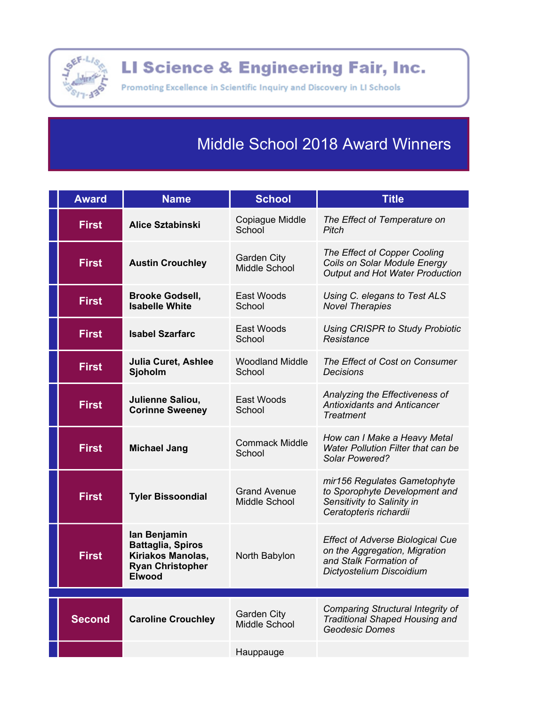

LI Science & Engineering Fair, Inc.

Promoting Excellence in Scientific Inquiry and Discovery in LI Schools

## **Middle School 2018 Award Winners**

| <b>Award</b>  | <b>Name</b>                                                                                               | <b>School</b>                        | <b>Title</b>                                                                                                                   |
|---------------|-----------------------------------------------------------------------------------------------------------|--------------------------------------|--------------------------------------------------------------------------------------------------------------------------------|
| <b>First</b>  | <b>Alice Sztabinski</b>                                                                                   | Copiague Middle<br>School            | The Effect of Temperature on<br>Pitch                                                                                          |
| <b>First</b>  | <b>Austin Crouchley</b>                                                                                   | <b>Garden City</b><br>Middle School  | The Effect of Copper Cooling<br>Coils on Solar Module Energy<br>Output and Hot Water Production                                |
| <b>First</b>  | <b>Brooke Godsell,</b><br><b>Isabelle White</b>                                                           | East Woods<br>School                 | Using C. elegans to Test ALS<br><b>Novel Therapies</b>                                                                         |
| <b>First</b>  | <b>Isabel Szarfarc</b>                                                                                    | East Woods<br>School                 | <b>Using CRISPR to Study Probiotic</b><br>Resistance                                                                           |
| <b>First</b>  | <b>Julia Curet, Ashlee</b><br>Sjoholm                                                                     | <b>Woodland Middle</b><br>School     | The Effect of Cost on Consumer<br><b>Decisions</b>                                                                             |
| <b>First</b>  | Julienne Saliou,<br><b>Corinne Sweeney</b>                                                                | East Woods<br>School                 | Analyzing the Effectiveness of<br><b>Antioxidants and Anticancer</b><br>Treatment                                              |
| <b>First</b>  | <b>Michael Jang</b>                                                                                       | <b>Commack Middle</b><br>School      | How can I Make a Heavy Metal<br>Water Pollution Filter that can be<br>Solar Powered?                                           |
| <b>First</b>  | <b>Tyler Bissoondial</b>                                                                                  | <b>Grand Avenue</b><br>Middle School | mir156 Regulates Gametophyte<br>to Sporophyte Development and<br>Sensitivity to Salinity in<br>Ceratopteris richardii          |
| <b>First</b>  | lan Benjamin<br><b>Battaglia, Spiros</b><br>Kiriakos Manolas,<br><b>Ryan Christopher</b><br><b>Elwood</b> | North Babylon                        | <b>Effect of Adverse Biological Cue</b><br>on the Aggregation, Migration<br>and Stalk Formation of<br>Dictyostelium Discoidium |
|               |                                                                                                           |                                      |                                                                                                                                |
| <b>Second</b> | <b>Caroline Crouchley</b>                                                                                 | <b>Garden City</b><br>Middle School  | Comparing Structural Integrity of<br><b>Traditional Shaped Housing and</b><br><b>Geodesic Domes</b>                            |
|               |                                                                                                           | Hauppauge                            |                                                                                                                                |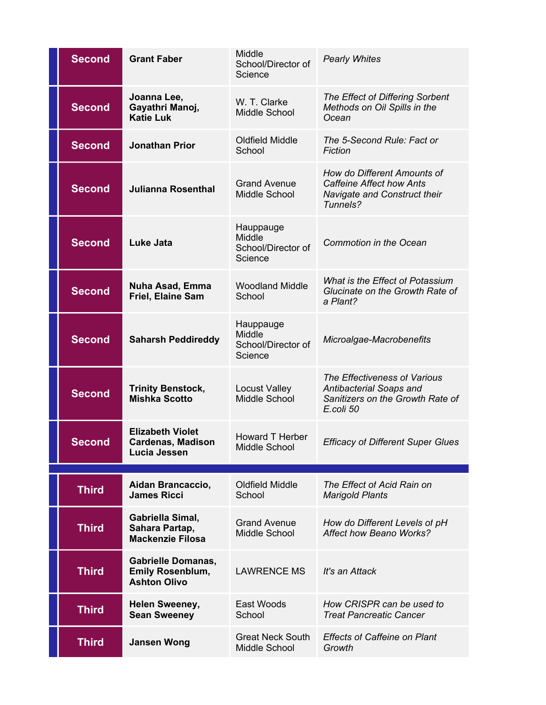| <b>Second</b> | <b>Grant Faber</b>                                                          | Middle<br>School/Director of<br>Science              | <b>Pearly Whites</b>                                                                                       |
|---------------|-----------------------------------------------------------------------------|------------------------------------------------------|------------------------------------------------------------------------------------------------------------|
| <b>Second</b> | Joanna Lee,<br>Gayathri Manoj,<br><b>Katie Luk</b>                          | W. T. Clarke<br>Middle School                        | The Effect of Differing Sorbent<br>Methods on Oil Spills in the<br>Ocean                                   |
| <b>Second</b> | <b>Jonathan Prior</b>                                                       | <b>Oldfield Middle</b><br>School                     | The 5-Second Rule: Fact or<br><b>Fiction</b>                                                               |
| <b>Second</b> | <b>Julianna Rosenthal</b>                                                   | <b>Grand Avenue</b><br>Middle School                 | How do Different Amounts of<br><b>Caffeine Affect how Ants</b><br>Navigate and Construct their<br>Tunnels? |
| <b>Second</b> | <b>Luke Jata</b>                                                            | Hauppauge<br>Middle<br>School/Director of<br>Science | <b>Commotion in the Ocean</b>                                                                              |
| <b>Second</b> | <b>Nuha Asad, Emma</b><br>Friel, Elaine Sam                                 | <b>Woodland Middle</b><br>School                     | What is the Effect of Potassium<br>Glucinate on the Growth Rate of<br>a Plant?                             |
| <b>Second</b> | <b>Saharsh Peddireddy</b>                                                   | Hauppauge<br>Middle<br>School/Director of<br>Science | Microalgae-Macrobenefits                                                                                   |
| <b>Second</b> | <b>Trinity Benstock,</b><br><b>Mishka Scotto</b>                            | <b>Locust Valley</b><br>Middle School                | The Effectiveness of Various<br>Antibacterial Soaps and<br>Sanitizers on the Growth Rate of<br>E.coli 50   |
| Second        | <b>Elizabeth Violet</b><br><b>Cardenas, Madison</b><br>Lucia Jessen         | <b>Howard T Herber</b><br>Middle School              | <b>Efficacy of Different Super Glues</b>                                                                   |
|               | Aidan Brancaccio,                                                           | Oldfield Middle                                      | The Effect of Acid Rain on                                                                                 |
| <b>Third</b>  | <b>James Ricci</b>                                                          | School                                               | <b>Marigold Plants</b>                                                                                     |
| <b>Third</b>  | Gabriella Simal,<br>Sahara Partap,<br><b>Mackenzie Filosa</b>               | <b>Grand Avenue</b><br>Middle School                 | How do Different Levels of pH<br><b>Affect how Beano Works?</b>                                            |
| <b>Third</b>  | <b>Gabrielle Domanas,</b><br><b>Emily Rosenblum,</b><br><b>Ashton Olivo</b> | <b>LAWRENCE MS</b>                                   | It's an Attack                                                                                             |
| <b>Third</b>  | <b>Helen Sweeney,</b><br><b>Sean Sweeney</b>                                | East Woods<br>School                                 | How CRISPR can be used to<br><b>Treat Pancreatic Cancer</b>                                                |
| <b>Third</b>  | <b>Jansen Wong</b>                                                          | <b>Great Neck South</b><br>Middle School             | <b>Effects of Caffeine on Plant</b><br>Growth                                                              |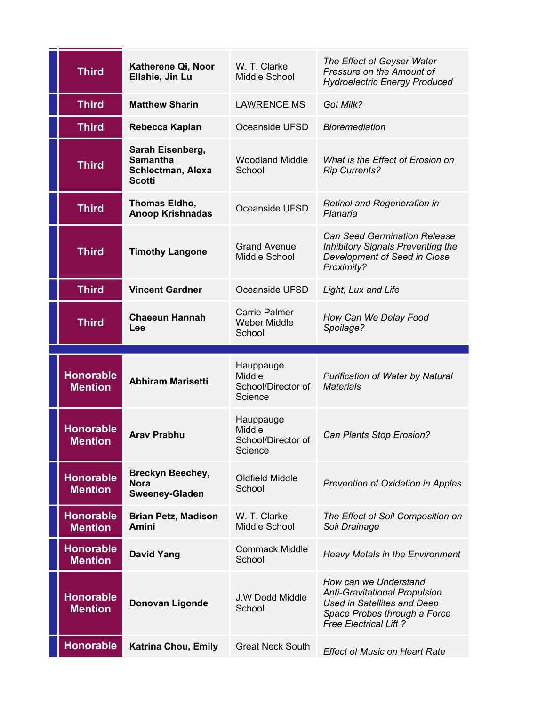| <b>Third</b>                       | Katherene Qi, Noor<br>Ellahie, Jin Lu                                     | W. T. Clarke<br>Middle School                         | The Effect of Geyser Water<br>Pressure on the Amount of<br><b>Hydroelectric Energy Produced</b>                                                                     |
|------------------------------------|---------------------------------------------------------------------------|-------------------------------------------------------|---------------------------------------------------------------------------------------------------------------------------------------------------------------------|
| <b>Third</b>                       | <b>Matthew Sharin</b>                                                     | <b>LAWRENCE MS</b>                                    | Got Milk?                                                                                                                                                           |
| <b>Third</b>                       | Rebecca Kaplan                                                            | Oceanside UFSD                                        | <b>Bioremediation</b>                                                                                                                                               |
| <b>Third</b>                       | Sarah Eisenberg,<br><b>Samantha</b><br>Schlectman, Alexa<br><b>Scotti</b> | <b>Woodland Middle</b><br>School                      | What is the Effect of Erosion on<br><b>Rip Currents?</b>                                                                                                            |
| <b>Third</b>                       | Thomas Eldho,<br><b>Anoop Krishnadas</b>                                  | Oceanside UFSD                                        | <b>Retinol and Regeneration in</b><br>Planaria                                                                                                                      |
| <b>Third</b>                       | <b>Timothy Langone</b>                                                    | <b>Grand Avenue</b><br>Middle School                  | <b>Can Seed Germination Release</b><br><b>Inhibitory Signals Preventing the</b><br>Development of Seed in Close<br>Proximity?                                       |
| <b>Third</b>                       | <b>Vincent Gardner</b>                                                    | Oceanside UFSD                                        | Light, Lux and Life                                                                                                                                                 |
| <b>Third</b>                       | <b>Chaeeun Hannah</b><br>Lee                                              | <b>Carrie Palmer</b><br><b>Weber Middle</b><br>School | How Can We Delay Food<br>Spoilage?                                                                                                                                  |
|                                    |                                                                           |                                                       |                                                                                                                                                                     |
|                                    |                                                                           | Hauppauge                                             |                                                                                                                                                                     |
| <b>Honorable</b><br><b>Mention</b> | <b>Abhiram Marisetti</b>                                                  | Middle<br>School/Director of<br>Science               | <b>Purification of Water by Natural</b><br><b>Materials</b>                                                                                                         |
| <b>Honorable</b><br><b>Mention</b> | <b>Arav Prabhu</b>                                                        | Hauppauge<br>Middle<br>School/Director of<br>Science  | Can Plants Stop Erosion?                                                                                                                                            |
| <b>Honorable</b><br><b>Mention</b> | <b>Breckyn Beechey,</b><br><b>Nora</b><br><b>Sweeney-Gladen</b>           | Oldfield Middle<br>School                             | Prevention of Oxidation in Apples                                                                                                                                   |
| <b>Honorable</b><br><b>Mention</b> | <b>Brian Petz, Madison</b><br>Amini                                       | W. T. Clarke<br>Middle School                         | The Effect of Soil Composition on<br>Soil Drainage                                                                                                                  |
| <b>Honorable</b><br><b>Mention</b> | <b>David Yang</b>                                                         | <b>Commack Middle</b><br>School                       | <b>Heavy Metals in the Environment</b>                                                                                                                              |
| <b>Honorable</b><br><b>Mention</b> | Donovan Ligonde                                                           | J.W Dodd Middle<br>School                             | How can we Understand<br><b>Anti-Gravitational Propulsion</b><br><b>Used in Satellites and Deep</b><br>Space Probes through a Force<br><b>Free Electrical Lift?</b> |